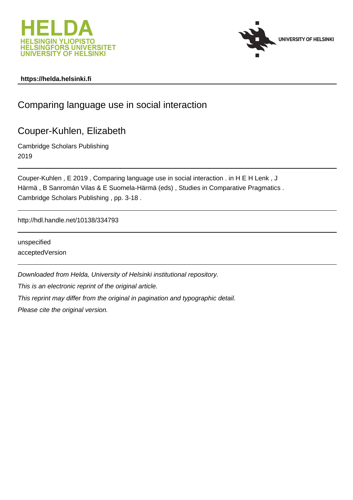



### **https://helda.helsinki.fi**

# Comparing language use in social interaction

# Couper-Kuhlen, Elizabeth

Cambridge Scholars Publishing 2019

Couper-Kuhlen , E 2019 , Comparing language use in social interaction . in H E H Lenk , J Härmä , B Sanromán Vilas & E Suomela-Härmä (eds) , Studies in Comparative Pragmatics . Cambridge Scholars Publishing , pp. 3-18 .

http://hdl.handle.net/10138/334793

unspecified acceptedVersion

Downloaded from Helda, University of Helsinki institutional repository.

This is an electronic reprint of the original article.

This reprint may differ from the original in pagination and typographic detail.

Please cite the original version.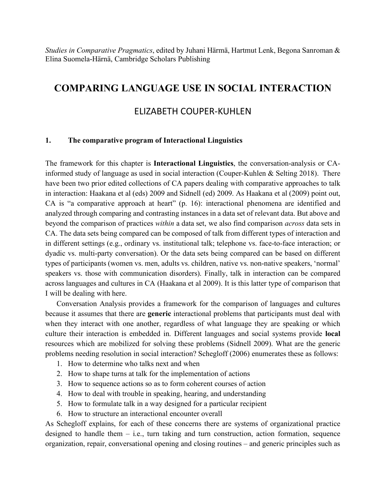*Studies in Comparative Pragmatics*, edited by Juhani Härmä, Hartmut Lenk, Begona Sanroman & Elina Suomela-Härnä, Cambridge Scholars Publishing

## **COMPARING LANGUAGE USE IN SOCIAL INTERACTION**

## ELIZABETH COUPER-KUHLEN

### **1. The comparative program of Interactional Linguistics**

The framework for this chapter is **Interactional Linguistics**, the conversation-analysis or CAinformed study of language as used in social interaction (Couper-Kuhlen & Selting 2018). There have been two prior edited collections of CA papers dealing with comparative approaches to talk in interaction: Haakana et al (eds) 2009 and Sidnell (ed) 2009. As Haakana et al (2009) point out, CA is "a comparative approach at heart" (p. 16): interactional phenomena are identified and analyzed through comparing and contrasting instances in a data set of relevant data. But above and beyond the comparison of practices *within* a data set, we also find comparison *across* data sets in CA. The data sets being compared can be composed of talk from different types of interaction and in different settings (e.g., ordinary vs. institutional talk; telephone vs. face-to-face interaction; or dyadic vs. multi-party conversation). Or the data sets being compared can be based on different types of participants (women vs. men, adults vs. children, native vs. non-native speakers, 'normal' speakers vs. those with communication disorders). Finally, talk in interaction can be compared across languages and cultures in CA (Haakana et al 2009). It is this latter type of comparison that I will be dealing with here.

Conversation Analysis provides a framework for the comparison of languages and cultures because it assumes that there are **generic** interactional problems that participants must deal with when they interact with one another, regardless of what language they are speaking or which culture their interaction is embedded in. Different languages and social systems provide **local** resources which are mobilized for solving these problems (Sidnell 2009). What are the generic problems needing resolution in social interaction? Schegloff (2006) enumerates these as follows:

- 1. How to determine who talks next and when
- 2. How to shape turns at talk for the implementation of actions
- 3. How to sequence actions so as to form coherent courses of action
- 4. How to deal with trouble in speaking, hearing, and understanding
- 5. How to formulate talk in a way designed for a particular recipient
- 6. How to structure an interactional encounter overall

As Schegloff explains, for each of these concerns there are systems of organizational practice designed to handle them – i.e., turn taking and turn construction, action formation, sequence organization, repair, conversational opening and closing routines – and generic principles such as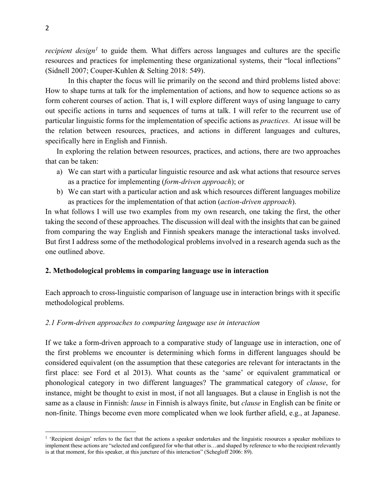*recipient design<sup>1</sup>* to guide them. What differs across languages and cultures are the specific resources and practices for implementing these organizational systems, their "local inflections" (Sidnell 2007; Couper-Kuhlen & Selting 2018: 549).

In this chapter the focus will lie primarily on the second and third problems listed above: How to shape turns at talk for the implementation of actions, and how to sequence actions so as form coherent courses of action. That is, I will explore different ways of using language to carry out specific actions in turns and sequences of turns at talk. I will refer to the recurrent use of particular linguistic forms for the implementation of specific actions as *practices*. At issue will be the relation between resources, practices, and actions in different languages and cultures, specifically here in English and Finnish.

In exploring the relation between resources, practices, and actions, there are two approaches that can be taken:

- a) We can start with a particular linguistic resource and ask what actions that resource serves as a practice for implementing (*form-driven approach*); or
- b) We can start with a particular action and ask which resources different languages mobilize as practices for the implementation of that action (*action-driven approach*).

In what follows I will use two examples from my own research, one taking the first, the other taking the second of these approaches. The discussion will deal with the insights that can be gained from comparing the way English and Finnish speakers manage the interactional tasks involved. But first I address some of the methodological problems involved in a research agenda such as the one outlined above.

#### **2. Methodological problems in comparing language use in interaction**

Each approach to cross-linguistic comparison of language use in interaction brings with it specific methodological problems.

#### *2.1 Form-driven approaches to comparing language use in interaction*

If we take a form-driven approach to a comparative study of language use in interaction, one of the first problems we encounter is determining which forms in different languages should be considered equivalent (on the assumption that these categories are relevant for interactants in the first place: see Ford et al 2013). What counts as the 'same' or equivalent grammatical or phonological category in two different languages? The grammatical category of *clause*, for instance, might be thought to exist in most, if not all languages. But a clause in English is not the same as a clause in Finnish: *lause* in Finnish is always finite, but *clause* in English can be finite or non-finite. Things become even more complicated when we look further afield, e.g., at Japanese.

 $\overline{a}$ 

<sup>&</sup>lt;sup>1</sup> 'Recipient design' refers to the fact that the actions a speaker undertakes and the linguistic resources a speaker mobilizes to implement these actions are "selected and configured for who that other is…and shaped by reference to who the recipient relevantly is at that moment, for this speaker, at this juncture of this interaction" (Schegloff 2006: 89).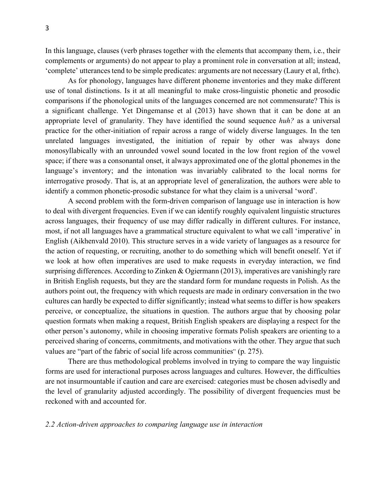In this language, clauses (verb phrases together with the elements that accompany them, i.e., their complements or arguments) do not appear to play a prominent role in conversation at all; instead, 'complete' utterances tend to be simple predicates: arguments are not necessary (Laury et al, frthc).

As for phonology, languages have different phoneme inventories and they make different use of tonal distinctions. Is it at all meaningful to make cross-linguistic phonetic and prosodic comparisons if the phonological units of the languages concerned are not commensurate? This is a significant challenge. Yet Dingemanse et al (2013) have shown that it can be done at an appropriate level of granularity. They have identified the sound sequence *huh?* as a universal practice for the other-initiation of repair across a range of widely diverse languages. In the ten unrelated languages investigated, the initiation of repair by other was always done monosyllabically with an unrounded vowel sound located in the low front region of the vowel space; if there was a consonantal onset, it always approximated one of the glottal phonemes in the language's inventory; and the intonation was invariably calibrated to the local norms for interrogative prosody. That is, at an appropriate level of generalization, the authors were able to identify a common phonetic-prosodic substance for what they claim is a universal 'word'.

A second problem with the form-driven comparison of language use in interaction is how to deal with divergent frequencies. Even if we can identify roughly equivalent linguistic structures across languages, their frequency of use may differ radically in different cultures. For instance, most, if not all languages have a grammatical structure equivalent to what we call 'imperative' in English (Aikhenvald 2010). This structure serves in a wide variety of languages as a resource for the action of requesting, or recruiting, another to do something which will benefit oneself. Yet if we look at how often imperatives are used to make requests in everyday interaction, we find surprising differences. According to Zinken & Ogiermann (2013), imperatives are vanishingly rare in British English requests, but they are the standard form for mundane requests in Polish. As the authors point out, the frequency with which requests are made in ordinary conversation in the two cultures can hardly be expected to differ significantly; instead what seems to differ is how speakers perceive, or conceptualize, the situations in question. The authors argue that by choosing polar question formats when making a request, British English speakers are displaying a respect for the other person's autonomy, while in choosing imperative formats Polish speakers are orienting to a perceived sharing of concerns, commitments, and motivations with the other. They argue that such values are "part of the fabric of social life across communities" (p. 275).

There are thus methodological problems involved in trying to compare the way linguistic forms are used for interactional purposes across languages and cultures. However, the difficulties are not insurmountable if caution and care are exercised: categories must be chosen advisedly and the level of granularity adjusted accordingly. The possibility of divergent frequencies must be reckoned with and accounted for.

#### *2.2 Action-driven approaches to comparing language use in interaction*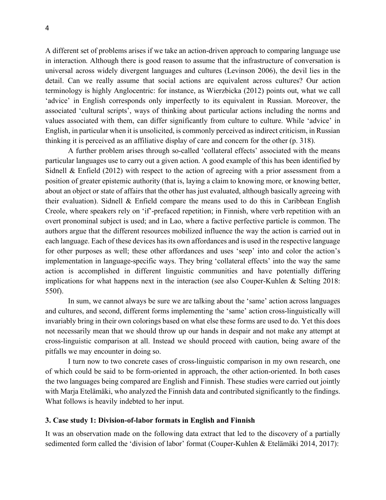A different set of problems arises if we take an action-driven approach to comparing language use in interaction. Although there is good reason to assume that the infrastructure of conversation is universal across widely divergent languages and cultures (Levinson 2006), the devil lies in the detail. Can we really assume that social actions are equivalent across cultures? Our action terminology is highly Anglocentric: for instance, as Wierzbicka (2012) points out, what we call 'advice' in English corresponds only imperfectly to its equivalent in Russian. Moreover, the associated 'cultural scripts', ways of thinking about particular actions including the norms and values associated with them, can differ significantly from culture to culture. While 'advice' in English, in particular when it is unsolicited, is commonly perceived as indirect criticism, in Russian thinking it is perceived as an affiliative display of care and concern for the other (p. 318).

A further problem arises through so-called 'collateral effects' associated with the means particular languages use to carry out a given action. A good example of this has been identified by Sidnell & Enfield (2012) with respect to the action of agreeing with a prior assessment from a position of greater epistemic authority (that is, laying a claim to knowing more, or knowing better, about an object or state of affairs that the other has just evaluated, although basically agreeing with their evaluation). Sidnell  $\&$  Enfield compare the means used to do this in Caribbean English Creole, where speakers rely on 'if'-prefaced repetition; in Finnish, where verb repetition with an overt pronominal subject is used; and in Lao, where a factive perfective particle is common. The authors argue that the different resources mobilized influence the way the action is carried out in each language. Each of these devices has its own affordances and is used in the respective language for other purposes as well; these other affordances and uses 'seep' into and color the action's implementation in language-specific ways. They bring 'collateral effects' into the way the same action is accomplished in different linguistic communities and have potentially differing implications for what happens next in the interaction (see also Couper-Kuhlen & Selting 2018: 550f).

In sum, we cannot always be sure we are talking about the 'same' action across languages and cultures, and second, different forms implementing the 'same' action cross-linguistically will invariably bring in their own colorings based on what else these forms are used to do. Yet this does not necessarily mean that we should throw up our hands in despair and not make any attempt at cross-linguistic comparison at all. Instead we should proceed with caution, being aware of the pitfalls we may encounter in doing so.

I turn now to two concrete cases of cross-linguistic comparison in my own research, one of which could be said to be form-oriented in approach, the other action-oriented. In both cases the two languages being compared are English and Finnish. These studies were carried out jointly with Marja Etelämäki, who analyzed the Finnish data and contributed significantly to the findings. What follows is heavily indebted to her input.

#### **3. Case study 1: Division-of-labor formats in English and Finnish**

It was an observation made on the following data extract that led to the discovery of a partially sedimented form called the 'division of labor' format (Couper-Kuhlen & Etelämäki 2014, 2017):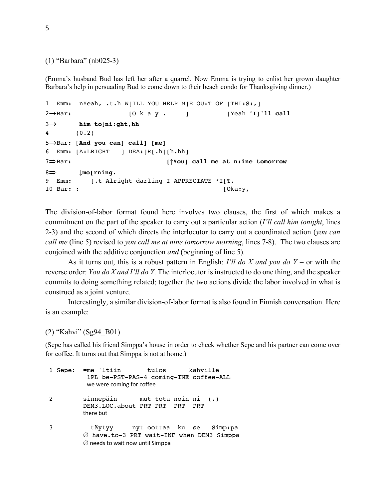```
(1) "Barbara" (nb025-3)
```
(Emma's husband Bud has left her after a quarrel. Now Emma is trying to enlist her grown daughter Barbara's help in persuading Bud to come down to their beach condo for Thanksgiving dinner.)

```
1 Emm: nYeah, .t.h W[ILL YOU HELP M]E OU:T OF [THI:S:,]
2®Bar: [O k a y . ] [Yeah ↑I]'ll call
3® him to↓ni:ght,hh
4 (0.2)
5ÞBar: [And you can] call] [me]
6 Emm: [A:LRIGHT ] DEA:]R[.h][h.hh]
7ÞBar: [↑You] call me at n:ine tomorrow
8Þ ↓mo[rning.
9 Emm: [.t Alright darling I APPRECIATE *I[T.
10 Bar: : [Oka:y,
```
The division-of-labor format found here involves two clauses, the first of which makes a commitment on the part of the speaker to carry out a particular action (*I'll call him tonight*, lines 2-3) and the second of which directs the interlocutor to carry out a coordinated action (*you can call me* (line 5) revised to *you call me at nine tomorrow morning*, lines 7-8). The two clauses are conjoined with the additive conjunction *and* (beginning of line 5).

As it turns out, this is a robust pattern in English: *I'll do X and you do Y* – or with the reverse order: *You do X and I'll do Y*. The interlocutor is instructed to do one thing, and the speaker commits to doing something related; together the two actions divide the labor involved in what is construed as a joint venture.

Interestingly, a similar division-of-labor format is also found in Finnish conversation. Here is an example:

#### (2) "Kahvi" (Sg94\_B01)

(Sepe has called his friend Simppa's house in order to check whether Sepe and his partner can come over for coffee. It turns out that Simppa is not at home.)

1 Sepe: =me 'ltiin tulos kahville 1PL be-PST-PAS-4 coming-INE coffee-ALL we were coming for coffee 2 sinnepäin mut tota noin ni (.) DEM3.LOC.about PRT PRT PRT PRT there but 3 täytyy nyt oottaa ku se Simp:pa  $\varnothing$  have.to-3 PRT wait-INF when DEM3 Simppa  $\varnothing$  needs to wait now until Simppa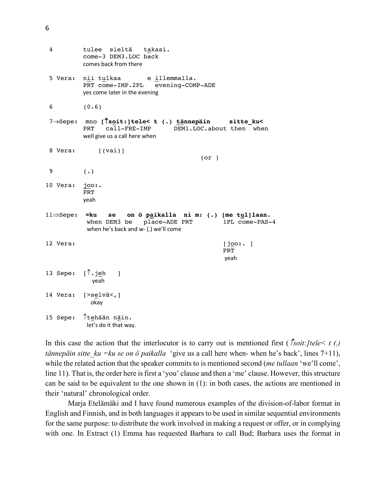| 4                          | tulee sieltä<br>takasi.<br>come-3 DEM3.LOC back<br>comes back from there                                                              |                               |
|----------------------------|---------------------------------------------------------------------------------------------------------------------------------------|-------------------------------|
| 5 Vera:                    | nii tulkaa eillemmalla.<br>PRT come-IMP.2PL evening-COMP-ADE<br>yes come later in the evening                                         |                               |
| 6                          | (0.6)                                                                                                                                 |                               |
|                            | 7-Sepe: mno [lsoit: ]tele< t (.) tännepäin sitte_ku<<br>DEM1.LOC.about then when<br>PRT call-FRE-IMP<br>well give us a call here when |                               |
| 8 Vera:                    | $[$ (vai)]<br>(or)                                                                                                                    |                               |
| 9                          | $(\cdot)$                                                                                                                             |                               |
| 10 Vera:                   | <u>joo:.</u><br>PRT<br>yeah                                                                                                           |                               |
| $11 \Rightarrow$ Sepe: =ku | se on ö paikalla ni m: (.) [me tul]laan.<br>when DEM3 be place-ADE PRT<br>when he's back and w- (.) we'll come                        | 1PL come-PAS-4                |
| 12 Vera:                   |                                                                                                                                       | [joo:.]<br><b>PRT</b><br>yeah |
| 13 Sepe: [l.jeh            | $\mathbf{1}$<br>yeah                                                                                                                  |                               |
| 14 Vera:                   | [>selvä <sub>1</sub> ]<br>okay                                                                                                        |                               |
| 15 Sepe:                   | Ttehään näin.<br>let's do it that way.                                                                                                |                               |

In this case the action that the interlocutor is to carry out is mentioned first ( $\hat{T}soit:]tele \leq t$  (.) *tännepäin sitte\_ku =ku se on ö paikalla* 'give us a call here when- when he's back', lines 7+11), while the related action that the speaker commits to is mentioned second (*me tullaan* 'we'll come', line 11). That is, the order here is first a 'you' clause and then a 'me' clause. However, this structure can be said to be equivalent to the one shown in (1): in both cases, the actions are mentioned in their 'natural' chronological order.

Marja Etelämäki and I have found numerous examples of the division-of-labor format in English and Finnish, and in both languages it appears to be used in similar sequential environments for the same purpose: to distribute the work involved in making a request or offer, or in complying with one. In Extract (1) Emma has requested Barbara to call Bud; Barbara uses the format in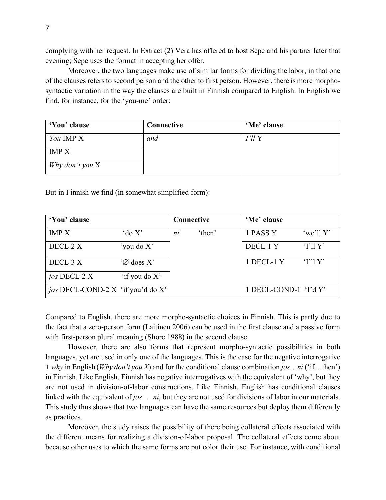complying with her request. In Extract (2) Vera has offered to host Sepe and his partner later that evening; Sepe uses the format in accepting her offer.

Moreover, the two languages make use of similar forms for dividing the labor, in that one of the clauses refers to second person and the other to first person. However, there is more morphosyntactic variation in the way the clauses are built in Finnish compared to English. In English we find, for instance, for the 'you-me' order:

| 'You' clause     | Connective | 'Me' clause |
|------------------|------------|-------------|
| <i>You</i> IMP X | and        | I'll Y      |
| <b>IMP X</b>     |            |             |
| Why don't you X  |            |             |

But in Finnish we find (in somewhat simplified form):

| 'You' clause                             |                       | Connective |        | 'Me' clause           |             |
|------------------------------------------|-----------------------|------------|--------|-----------------------|-------------|
| <b>IMP X</b>                             | $\partial X$          | ni         | 'then' | 1 PASS Y              | 'we'll $Y'$ |
| DECL-2 X                                 | 'you do X'            |            |        | DECL-1 Y              | 'I'llY'     |
| DECL-3 X                                 | $\mathcal{O}$ does X' |            |        | 1 DECL-1 Y            | T11Y'       |
| jos DECL-2 X                             | 'if you do X'         |            |        |                       |             |
| <i>jos</i> DECL-COND-2 X 'if you'd do X' |                       |            |        | 1 DECL-COND-1 'I'd Y' |             |

Compared to English, there are more morpho-syntactic choices in Finnish. This is partly due to the fact that a zero-person form (Laitinen 2006) can be used in the first clause and a passive form with first-person plural meaning (Shore 1988) in the second clause.

However, there are also forms that represent morpho-syntactic possibilities in both languages, yet are used in only one of the languages. This is the case for the negative interrogative + *why* in English (*Why don't you X*) and for the conditional clause combination *jos*…*ni* ('if…then') in Finnish. Like English, Finnish has negative interrogatives with the equivalent of 'why', but they are not used in division-of-labor constructions. Like Finnish, English has conditional clauses linked with the equivalent of *jos* … *ni*, but they are not used for divisions of labor in our materials. This study thus shows that two languages can have the same resources but deploy them differently as practices.

Moreover, the study raises the possibility of there being collateral effects associated with the different means for realizing a division-of-labor proposal. The collateral effects come about because other uses to which the same forms are put color their use. For instance, with conditional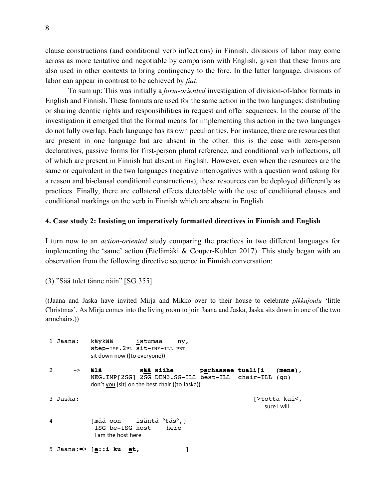clause constructions (and conditional verb inflections) in Finnish, divisions of labor may come across as more tentative and negotiable by comparison with English, given that these forms are also used in other contexts to bring contingency to the fore. In the latter language, divisions of labor can appear in contrast to be achieved by *fiat*.

To sum up: This was initially a *form-oriented* investigation of division-of-labor formats in English and Finnish. These formats are used for the same action in the two languages: distributing or sharing deontic rights and responsibilities in request and offer sequences. In the course of the investigation it emerged that the formal means for implementing this action in the two languages do not fully overlap. Each language has its own peculiarities. For instance, there are resources that are present in one language but are absent in the other: this is the case with zero-person declaratives, passive forms for first-person plural reference, and conditional verb inflections, all of which are present in Finnish but absent in English. However, even when the resources are the same or equivalent in the two languages (negative interrogatives with a question word asking for a reason and bi-clausal conditional constructions), these resources can be deployed differently as practices. Finally, there are collateral effects detectable with the use of conditional clauses and conditional markings on the verb in Finnish which are absent in English.

#### **4. Case study 2: Insisting on imperatively formatted directives in Finnish and English**

I turn now to an *action-oriented* study comparing the practices in two different languages for implementing the 'same' action (Etelämäki & Couper-Kuhlen 2017). This study began with an observation from the following directive sequence in Finnish conversation:

(3) "Sää tulet tänne näin" [SG 355]

((Jaana and Jaska have invited Mirja and Mikko over to their house to celebrate *pikkujoulu* 'little Christmas'. As Mirja comes into the living room to join Jaana and Jaska, Jaska sits down in one of the two armchairs.))

|   | 1 Jaana:      | käykää<br>istumaa<br>ny,<br>step-IMP. 2PL sit-INF-ILL PRT<br>sit down now ((to everyone))                                                                     |
|---|---------------|---------------------------------------------------------------------------------------------------------------------------------------------------------------|
| 2 | $\rightarrow$ | sää siihe<br>älä<br>parhaasee tuali[i<br>$(mene)$ ,<br>NEG.IMP[2SG] 2SG DEM3.SG-ILL best-ILL chair-ILL (qo)<br>don't you [sit] on the best chair ((to Jaska)) |
|   | 3 Jaska:      | [>totta kai<,<br>sure I will                                                                                                                                  |
| 4 |               | [mää oon isäntä °täs°,]<br>1SG be-1SG host<br>here<br>I am the host here                                                                                      |
|   |               | 5 Jaana: $\Rightarrow$ [e::i ku et,                                                                                                                           |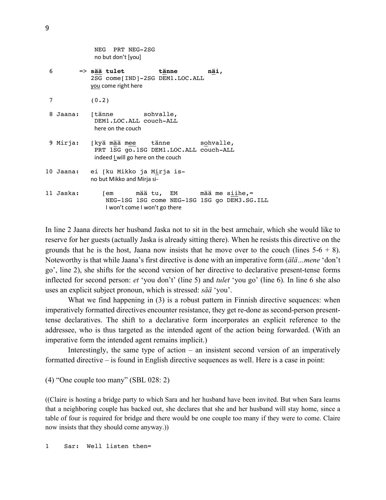|   |           | no but don't [you]                                                                                                                     |
|---|-----------|----------------------------------------------------------------------------------------------------------------------------------------|
| 6 |           | => s <u>ää</u> tulet<br>tänne<br>näi,<br>2SG come[IND]-2SG DEM1.LOC.ALL<br>you come right here                                         |
| 7 |           | (0.2)                                                                                                                                  |
| 8 | Jaana:    | [tänne sohvalle,<br>DEM1.LOC.ALL couch-ALL<br>here on the couch                                                                        |
|   | 9 Mirja:  | [kyä mää mee tänne sohvalle,<br>PRT 1SG go.1SG DEM1.LOC.ALL couch-ALL<br>indeed I will go here on the couch                            |
|   | 10 Jaana: | ei [ku Mikko ja Mirja is-<br>no but Mikko and Mirja si-                                                                                |
|   | 11 Jaska: | [em          mää tu,    EM            mää  me  siihe,=<br>NEG-1SG 1SG come NEG-1SG 1SG go DEM3.SG.ILL<br>I won't come I won't go there |

NEG PRT NEG-2SG

In line 2 Jaana directs her husband Jaska not to sit in the best armchair, which she would like to reserve for her guests (actually Jaska is already sitting there). When he resists this directive on the grounds that he is the host, Jaana now insists that he move over to the couch (lines  $5-6 + 8$ ). Noteworthy is that while Jaana's first directive is done with an imperative form (*älä…mene* 'don't go', line 2), she shifts for the second version of her directive to declarative present-tense forms inflected for second person: *et* 'you don't' (line 5) and *tulet* 'you go' (line 6). In line 6 she also uses an explicit subject pronoun, which is stressed: *sää* 'you'.

What we find happening in (3) is a robust pattern in Finnish directive sequences: when imperatively formatted directives encounter resistance, they get re-done as second-person presenttense declaratives. The shift to a declarative form incorporates an explicit reference to the addressee, who is thus targeted as the intended agent of the action being forwarded. (With an imperative form the intended agent remains implicit.)

Interestingly, the same type of action – an insistent second version of an imperatively formatted directive – is found in English directive sequences as well. Here is a case in point:

(4) "One couple too many" (SBL 028: 2)

((Claire is hosting a bridge party to which Sara and her husband have been invited. But when Sara learns that a neighboring couple has backed out, she declares that she and her husband will stay home, since a table of four is required for bridge and there would be one couple too many if they were to come. Claire now insists that they should come anyway.))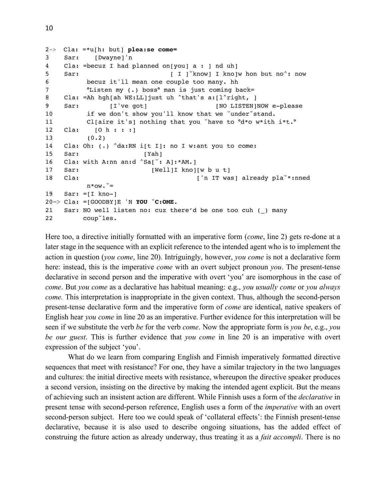```
2-> Cla: =*u[h: but] plea:se come=
3 Sar: [Dwayne]'n
4 Cla: =becuz I had planned on[you] a : ] nd uh]
5 Sar: [ I ] know] I kno ]w hon but no^: now
6 becuz it'll mean one couple too many. hh 
7 °Listen my (.) boss° man is just coming back=
8 Cla: =Ah hgh[ah WE:LL]just uh ^that's a:[l^right, ]
9 Sar: [I've got] [NO LISTEN]NOW e-please
10 if we don't show you'll know that we \text{under} stand.
11 Cl[aire it's] nothing that you `have to °d*o w*ith i*t.°
12 Cla: [O h : : :]
13 (0.2)
14 Cla: Oh: (.) ^da:RN i[t I]: no I w:ant you to come:
15 Sar: [Yah]
16 Cla: with A:nn an:d ^Sa[ `: A]:*AM.]
17 Sar: [Well]I kno][w b u t]
18 Cla: \qquad \qquad ['n IT was] already pla\qquad*:nned
         n *ow. \check{ } =
19 Sar: =[I kno-]
20=> Cla: =[GOODBY]E 'N YOU ˘C:OME.
21 Sar: NO well listen no: cuz there'd be one too cuh ( ) many
22 coup˘les.
```
Here too, a directive initially formatted with an imperative form (*come*, line 2) gets re-done at a later stage in the sequence with an explicit reference to the intended agent who is to implement the action in question (*you come*, line 20). Intriguingly, however, *you come* is not a declarative form here: instead, this is the imperative *come* with an overt subject pronoun *you*. The present-tense declarative in second person and the imperative with overt 'you' are isomorphous in the case of *come*. But *you come* as a declarative has habitual meaning: e.g., *you usually come* or *you always come.* This interpretation is inappropriate in the given context. Thus, although the second-person present-tense declarative form and the imperative form of *come* are identical, native speakers of English hear *you come* in line 20 as an imperative. Further evidence for this interpretation will be seen if we substitute the verb *be* for the verb *come*. Now the appropriate form is *you be*, e.g., *you be our guest*. This is further evidence that *you come* in line 20 is an imperative with overt expression of the subject 'you'.

What do we learn from comparing English and Finnish imperatively formatted directive sequences that meet with resistance? For one, they have a similar trajectory in the two languages and cultures: the initial directive meets with resistance, whereupon the directive speaker produces a second version, insisting on the directive by making the intended agent explicit. But the means of achieving such an insistent action are different. While Finnish uses a form of the *declarative* in present tense with second-person reference, English uses a form of the *imperative* with an overt second-person subject. Here too we could speak of 'collateral effects': the Finnish present-tense declarative, because it is also used to describe ongoing situations, has the added effect of construing the future action as already underway, thus treating it as a *fait accompli*. There is no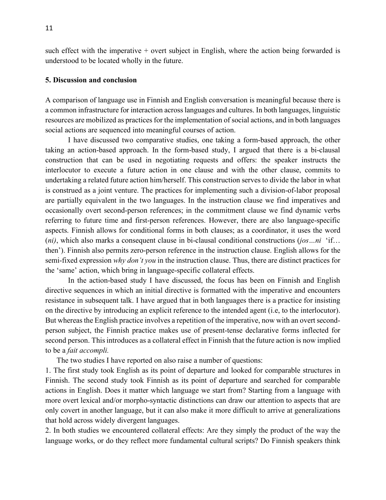such effect with the imperative + overt subject in English, where the action being forwarded is understood to be located wholly in the future.

#### **5. Discussion and conclusion**

A comparison of language use in Finnish and English conversation is meaningful because there is a common infrastructure for interaction across languages and cultures. In both languages, linguistic resources are mobilized as practices for the implementation of social actions, and in both languages social actions are sequenced into meaningful courses of action.

I have discussed two comparative studies, one taking a form-based approach, the other taking an action-based approach. In the form-based study, I argued that there is a bi-clausal construction that can be used in negotiating requests and offers: the speaker instructs the interlocutor to execute a future action in one clause and with the other clause, commits to undertaking a related future action him/herself. This construction serves to divide the labor in what is construed as a joint venture. The practices for implementing such a division-of-labor proposal are partially equivalent in the two languages. In the instruction clause we find imperatives and occasionally overt second-person references; in the commitment clause we find dynamic verbs referring to future time and first-person references. However, there are also language-specific aspects. Finnish allows for conditional forms in both clauses; as a coordinator, it uses the word (*ni)*, which also marks a consequent clause in bi-clausal conditional constructions (*jos…ni* 'if… then'). Finnish also permits zero-person reference in the instruction clause. English allows for the semi-fixed expression *why don't you* in the instruction clause. Thus, there are distinct practices for the 'same' action, which bring in language-specific collateral effects.

In the action-based study I have discussed, the focus has been on Finnish and English directive sequences in which an initial directive is formatted with the imperative and encounters resistance in subsequent talk. I have argued that in both languages there is a practice for insisting on the directive by introducing an explicit reference to the intended agent (i.e, to the interlocutor). But whereas the English practice involves a repetition of the imperative, now with an overt secondperson subject, the Finnish practice makes use of present-tense declarative forms inflected for second person. This introduces as a collateral effect in Finnish that the future action is now implied to be a *fait accompli.*

The two studies I have reported on also raise a number of questions:

1. The first study took English as its point of departure and looked for comparable structures in Finnish. The second study took Finnish as its point of departure and searched for comparable actions in English. Does it matter which language we start from? Starting from a language with more overt lexical and/or morpho-syntactic distinctions can draw our attention to aspects that are only covert in another language, but it can also make it more difficult to arrive at generalizations that hold across widely divergent languages.

2. In both studies we encountered collateral effects: Are they simply the product of the way the language works, or do they reflect more fundamental cultural scripts? Do Finnish speakers think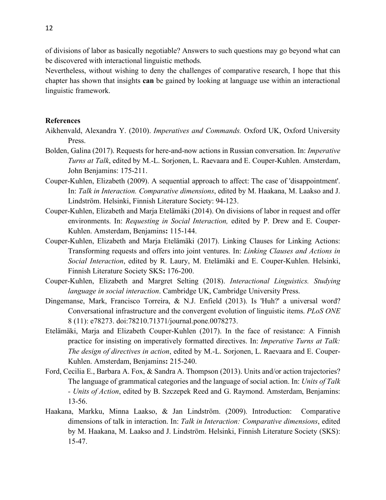of divisions of labor as basically negotiable? Answers to such questions may go beyond what can be discovered with interactional linguistic methods.

Nevertheless, without wishing to deny the challenges of comparative research, I hope that this chapter has shown that insights **can** be gained by looking at language use within an interactional linguistic framework.

#### **References**

- Aikhenvald, Alexandra Y. (2010). *Imperatives and Commands.* Oxford UK, Oxford University Press.
- Bolden, Galina (2017). Requests for here-and-now actions in Russian conversation. In: *Imperative Turns at Talk*, edited by M.-L. Sorjonen, L. Raevaara and E. Couper-Kuhlen. Amsterdam, John Benjamins: 175-211.
- Couper-Kuhlen, Elizabeth (2009). A sequential approach to affect: The case of 'disappointment'. In: *Talk in Interaction. Comparative dimensions*, edited by M. Haakana, M. Laakso and J. Lindström. Helsinki, Finnish Literature Society: 94-123.
- Couper-Kuhlen, Elizabeth and Marja Etelämäki (2014). On divisions of labor in request and offer environments. In: *Requesting in Social Interaction,* edited by P. Drew and E. Couper-Kuhlen. Amsterdam, Benjamins**:** 115-144.
- Couper-Kuhlen, Elizabeth and Marja Etelämäki (2017). Linking Clauses for Linking Actions: Transforming requests and offers into joint ventures. In: *Linking Clauses and Actions in Social Interaction*, edited by R. Laury, M. Etelämäki and E. Couper-Kuhlen. Helsinki, Finnish Literature Society SKS**:** 176-200.
- Couper-Kuhlen, Elizabeth and Margret Selting (2018). *Interactional Linguistics. Studying language in social interaction*. Cambridge UK, Cambridge University Press.
- Dingemanse, Mark, Francisco Torreira, & N.J. Enfield (2013). Is 'Huh?' a universal word? Conversational infrastructure and the convergent evolution of linguistic items. *PLoS ONE* 8 (11): e78273. doi:78210.71371/journal.pone.0078273.
- Etelämäki, Marja and Elizabeth Couper-Kuhlen (2017). In the face of resistance: A Finnish practice for insisting on imperatively formatted directives. In: *Imperative Turns at Talk: The design of directives in action*, edited by M.-L. Sorjonen, L. Raevaara and E. Couper-Kuhlen. Amsterdam, Benjamins**:** 215-240.
- Ford, Cecilia E., Barbara A. Fox, & Sandra A. Thompson (2013). Units and/or action trajectories? The language of grammatical categories and the language of social action. In: *Units of Talk - Units of Action*, edited by B. Szczepek Reed and G. Raymond. Amsterdam, Benjamins: 13-56.
- Haakana, Markku, Minna Laakso, & Jan Lindström. (2009). Introduction: Comparative dimensions of talk in interaction. In: *Talk in Interaction: Comparative dimensions*, edited by M. Haakana, M. Laakso and J. Lindström. Helsinki, Finnish Literature Society (SKS): 15-47.